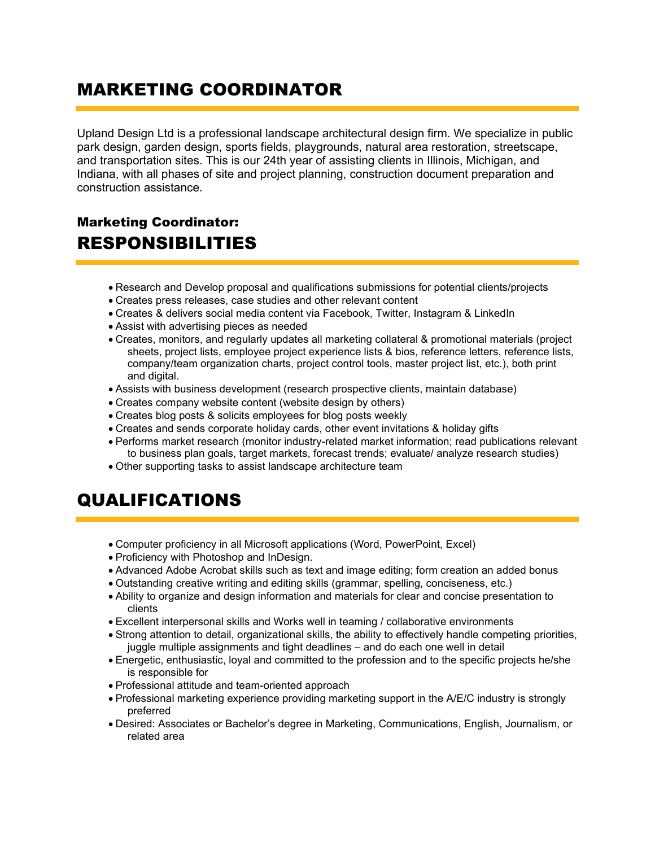## MARKETING COORDINATOR

Upland Design Ltd is a professional landscape architectural design firm. We specialize in public park design, garden design, sports fields, playgrounds, natural area restoration, streetscape, and transportation sites. This is our 24th year of assisting clients in Illinois, Michigan, and Indiana, with all phases of site and project planning, construction document preparation and construction assistance.

## Marketing Coordinator: RESPONSIBILITIES

- Research and Develop proposal and qualifications submissions for potential clients/projects
- Creates press releases, case studies and other relevant content
- Creates & delivers social media content via Facebook, Twitter, Instagram & LinkedIn
- Assist with advertising pieces as needed
- Creates, monitors, and regularly updates all marketing collateral & promotional materials (project sheets, project lists, employee project experience lists & bios, reference letters, reference lists, company/team organization charts, project control tools, master project list, etc.), both print and digital.
- Assists with business development (research prospective clients, maintain database)
- Creates company website content (website design by others)
- Creates blog posts & solicits employees for blog posts weekly
- Creates and sends corporate holiday cards, other event invitations & holiday gifts
- Performs market research (monitor industry-related market information; read publications relevant to business plan goals, target markets, forecast trends; evaluate/ analyze research studies)
- Other supporting tasks to assist landscape architecture team

## QUALIFICATIONS

- Computer proficiency in all Microsoft applications (Word, PowerPoint, Excel)
- Proficiency with Photoshop and InDesign.
- Advanced Adobe Acrobat skills such as text and image editing; form creation an added bonus
- Outstanding creative writing and editing skills (grammar, spelling, conciseness, etc.)
- Ability to organize and design information and materials for clear and concise presentation to clients
- Excellent interpersonal skills and Works well in teaming / collaborative environments
- Strong attention to detail, organizational skills, the ability to effectively handle competing priorities, juggle multiple assignments and tight deadlines – and do each one well in detail
- Energetic, enthusiastic, loyal and committed to the profession and to the specific projects he/she is responsible for
- Professional attitude and team-oriented approach
- Professional marketing experience providing marketing support in the A/E/C industry is strongly preferred
- Desired: Associates or Bachelor's degree in Marketing, Communications, English, Journalism, or related area